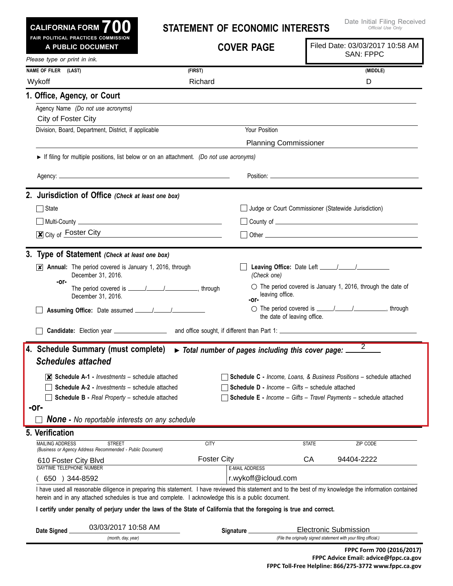|  | CALIFORNIA FORM $\bf{700}$          |  |  |
|--|-------------------------------------|--|--|
|  | FAIR POLITICAL PRACTICES COMMISSION |  |  |

## **Statement of Economic Interests**

|                                           | A PUBLIC DOCUMENT                                                                                                                                                                                                                                                 |                    | <b>COVER PAGE</b>                                                         |              | Filed Date: 03/03/2017 10:58 AM                                                                   |
|-------------------------------------------|-------------------------------------------------------------------------------------------------------------------------------------------------------------------------------------------------------------------------------------------------------------------|--------------------|---------------------------------------------------------------------------|--------------|---------------------------------------------------------------------------------------------------|
| Please type or print in ink.              |                                                                                                                                                                                                                                                                   |                    |                                                                           |              | <b>SAN: FPPC</b>                                                                                  |
| NAME OF FILER (LAST)                      |                                                                                                                                                                                                                                                                   | (FIRST)            |                                                                           |              | (MIDDLE)                                                                                          |
| Wykoff                                    |                                                                                                                                                                                                                                                                   | Richard            |                                                                           |              | D                                                                                                 |
| 1. Office, Agency, or Court               |                                                                                                                                                                                                                                                                   |                    |                                                                           |              |                                                                                                   |
|                                           | Agency Name (Do not use acronyms)                                                                                                                                                                                                                                 |                    |                                                                           |              |                                                                                                   |
| City of Foster City                       |                                                                                                                                                                                                                                                                   |                    |                                                                           |              |                                                                                                   |
|                                           | Division, Board, Department, District, if applicable                                                                                                                                                                                                              |                    | Your Position                                                             |              |                                                                                                   |
|                                           |                                                                                                                                                                                                                                                                   |                    | <b>Planning Commissioner</b>                                              |              |                                                                                                   |
|                                           | If filing for multiple positions, list below or on an attachment. (Do not use acronyms)                                                                                                                                                                           |                    |                                                                           |              |                                                                                                   |
|                                           |                                                                                                                                                                                                                                                                   |                    |                                                                           |              |                                                                                                   |
|                                           |                                                                                                                                                                                                                                                                   |                    |                                                                           |              |                                                                                                   |
|                                           | 2. Jurisdiction of Office (Check at least one box)                                                                                                                                                                                                                |                    |                                                                           |              |                                                                                                   |
| $\Box$ State                              |                                                                                                                                                                                                                                                                   |                    |                                                                           |              | Judge or Court Commissioner (Statewide Jurisdiction)                                              |
|                                           |                                                                                                                                                                                                                                                                   |                    |                                                                           |              |                                                                                                   |
|                                           | $\boxed{\mathbf{X}}$ City of Foster City                                                                                                                                                                                                                          |                    |                                                                           |              |                                                                                                   |
|                                           | 3. Type of Statement (Check at least one box)                                                                                                                                                                                                                     |                    |                                                                           |              |                                                                                                   |
|                                           | $\overline{\mathsf{x}}$ Annual: The period covered is January 1, 2016, through                                                                                                                                                                                    |                    |                                                                           |              |                                                                                                   |
|                                           | December 31, 2016.                                                                                                                                                                                                                                                |                    | (Check one)                                                               |              |                                                                                                   |
| -or-                                      | December 31, 2016.                                                                                                                                                                                                                                                |                    | leaving office.<br>-or-                                                   |              | $\circlearrowright$ The period covered is January 1, 2016, through the date of                    |
|                                           |                                                                                                                                                                                                                                                                   |                    | the date of leaving office.                                               |              | ○ The period covered is <u>_____/_____/</u> _________________, through                            |
|                                           |                                                                                                                                                                                                                                                                   |                    |                                                                           |              |                                                                                                   |
| <b>Schedules attached</b>                 | 4. Schedule Summary (must complete)                                                                                                                                                                                                                               |                    | $\triangleright$ Total number of pages including this cover page: $\perp$ |              | $\overline{2}$                                                                                    |
|                                           | $ \mathsf{X} $ Schedule A-1 - <i>Investments</i> – schedule attached                                                                                                                                                                                              |                    |                                                                           |              | <b>Schedule C</b> - Income, Loans, & Business Positions - schedule attached                       |
|                                           | <b>Schedule A-2 - Investments - schedule attached</b>                                                                                                                                                                                                             |                    | <b>Schedule D - Income - Gifts - schedule attached</b>                    |              |                                                                                                   |
|                                           | <b>Schedule B - Real Property - schedule attached</b>                                                                                                                                                                                                             |                    |                                                                           |              | <b>Schedule E</b> - Income - Gifts - Travel Payments - schedule attached                          |
| -or-                                      |                                                                                                                                                                                                                                                                   |                    |                                                                           |              |                                                                                                   |
|                                           | <b>None -</b> No reportable interests on any schedule                                                                                                                                                                                                             |                    |                                                                           |              |                                                                                                   |
| 5. Verification<br><b>MAILING ADDRESS</b> |                                                                                                                                                                                                                                                                   |                    |                                                                           |              |                                                                                                   |
|                                           | <b>STREET</b><br>(Business or Agency Address Recommended - Public Document)                                                                                                                                                                                       | <b>CITY</b>        |                                                                           | <b>STATE</b> | ZIP CODE                                                                                          |
| 610 Foster City Blvd                      |                                                                                                                                                                                                                                                                   | <b>Foster City</b> | <b>E-MAIL ADDRESS</b>                                                     | CA           | 94404-2222                                                                                        |
|                                           | DAYTIME TELEPHONE NUMBER<br>650 ) 344-8592                                                                                                                                                                                                                        |                    |                                                                           |              |                                                                                                   |
|                                           | I have used all reasonable diligence in preparing this statement. I have reviewed this statement and to the best of my knowledge the information contained<br>herein and in any attached schedules is true and complete. I acknowledge this is a public document. |                    | r.wykoff@icloud.com                                                       |              |                                                                                                   |
|                                           | I certify under penalty of perjury under the laws of the State of California that the foregoing is true and correct.                                                                                                                                              |                    |                                                                           |              |                                                                                                   |
|                                           |                                                                                                                                                                                                                                                                   |                    |                                                                           |              |                                                                                                   |
| Date Signed                               | 03/03/2017 10:58 AM                                                                                                                                                                                                                                               |                    | Signature <sub>-</sub>                                                    |              | <b>Electronic Submission</b><br>(File the originally signed statement with your filing official.) |
|                                           | (month, day, year)                                                                                                                                                                                                                                                |                    |                                                                           |              | FPPC Form 700 (2016/2017)                                                                         |